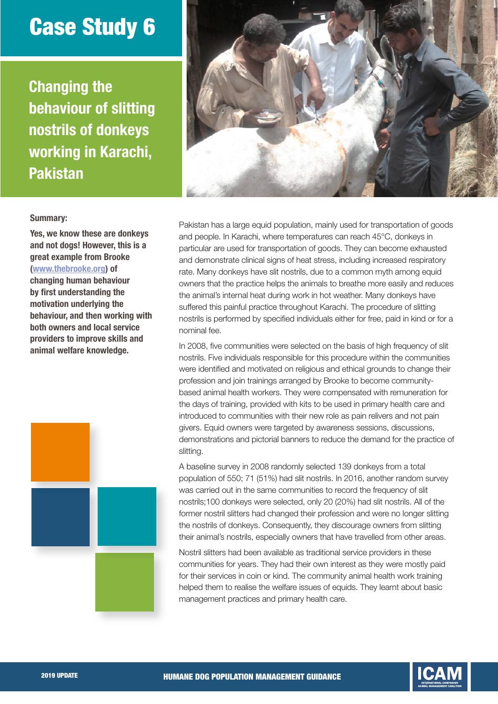## Case Study 6

Changing the behaviour of slitting nostrils of donkeys working in Karachi, Pakistan



## Summary:

Yes, we know these are donkeys and not dogs! However, this is a great example from Brooke [\(www.thebrooke.org\)](http://www.thebrooke.org) of changing human behaviour by first understanding the motivation underlying the behaviour, and then working with both owners and local service providers to improve skills and animal welfare knowledge.



Pakistan has a large equid population, mainly used for transportation of goods and people. In Karachi, where temperatures can reach 45°C, donkeys in particular are used for transportation of goods. They can become exhausted and demonstrate clinical signs of heat stress, including increased respiratory rate. Many donkeys have slit nostrils, due to a common myth among equid owners that the practice helps the animals to breathe more easily and reduces the animal's internal heat during work in hot weather. Many donkeys have suffered this painful practice throughout Karachi. The procedure of slitting nostrils is performed by specified individuals either for free, paid in kind or for a nominal fee.

In 2008, five communities were selected on the basis of high frequency of slit nostrils. Five individuals responsible for this procedure within the communities were identified and motivated on religious and ethical grounds to change their profession and join trainings arranged by Brooke to become communitybased animal health workers. They were compensated with remuneration for the days of training, provided with kits to be used in primary health care and introduced to communities with their new role as pain relivers and not pain givers. Equid owners were targeted by awareness sessions, discussions, demonstrations and pictorial banners to reduce the demand for the practice of slitting.

A baseline survey in 2008 randomly selected 139 donkeys from a total population of 550; 71 (51%) had slit nostrils. In 2016, another random survey was carried out in the same communities to record the frequency of slit nostrils;100 donkeys were selected, only 20 (20%) had slit nostrils. All of the former nostril slitters had changed their profession and were no longer slitting the nostrils of donkeys. Consequently, they discourage owners from slitting their animal's nostrils, especially owners that have travelled from other areas.

Nostril slitters had been available as traditional service providers in these communities for years. They had their own interest as they were mostly paid for their services in coin or kind. The community animal health work training helped them to realise the welfare issues of equids. They learnt about basic management practices and primary health care.